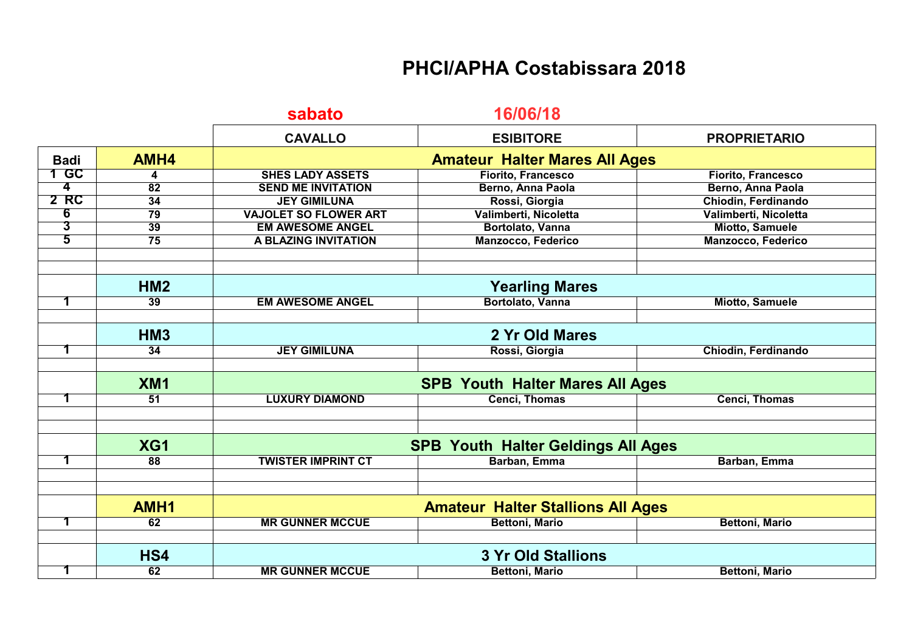## **PHCI/APHA Costabissara 2018**

|                |                 | sabato                                    | 16/06/18                  |                       |  |
|----------------|-----------------|-------------------------------------------|---------------------------|-----------------------|--|
|                |                 | <b>CAVALLO</b>                            | <b>ESIBITORE</b>          | <b>PROPRIETARIO</b>   |  |
| <b>Badi</b>    | AMH4            | <b>Amateur Halter Mares All Ages</b>      |                           |                       |  |
| 1 GC           | 4               | <b>SHES LADY ASSETS</b>                   | <b>Fiorito, Francesco</b> | Fiorito, Francesco    |  |
| 4              | $\overline{82}$ | <b>SEND ME INVITATION</b>                 | Berno, Anna Paola         | Berno, Anna Paola     |  |
| 2 RC           | 34              | <b>JEY GIMILUNA</b>                       | Rossi, Giorgia            | Chiodin, Ferdinando   |  |
| 6              | 79              | <b>VAJOLET SO FLOWER ART</b>              | Valimberti, Nicoletta     | Valimberti, Nicoletta |  |
| $\overline{3}$ | 39              | <b>EM AWESOME ANGEL</b>                   | Bortolato, Vanna          | Miotto, Samuele       |  |
| 5              | 75              | A BLAZING INVITATION                      | Manzocco, Federico        | Manzocco, Federico    |  |
|                |                 |                                           |                           |                       |  |
|                | HM2             | <b>Yearling Mares</b>                     |                           |                       |  |
|                | 39              | <b>EM AWESOME ANGEL</b>                   | Bortolato, Vanna          | Miotto, Samuele       |  |
|                |                 |                                           |                           |                       |  |
|                | <b>HM3</b>      |                                           | 2 Yr Old Mares            |                       |  |
| 1              | 34              | <b>JEY GIMILUNA</b>                       | Rossi, Giorgia            | Chiodin, Ferdinando   |  |
|                |                 |                                           |                           |                       |  |
|                | <b>XM1</b>      | <b>SPB Youth Halter Mares All Ages</b>    |                           |                       |  |
| 1              | $\overline{51}$ | <b>LUXURY DIAMOND</b>                     | <b>Cenci, Thomas</b>      | <b>Cenci, Thomas</b>  |  |
|                |                 |                                           |                           |                       |  |
|                |                 |                                           |                           |                       |  |
|                | XG1             | <b>SPB Youth Halter Geldings All Ages</b> |                           |                       |  |
| 1              | 88              | <b>TWISTER IMPRINT CT</b>                 | Barban, Emma              | Barban, Emma          |  |
|                |                 |                                           |                           |                       |  |
|                |                 |                                           |                           |                       |  |
|                | AMH1            | <b>Amateur Halter Stallions All Ages</b>  |                           |                       |  |
| 1              | 62              | <b>MR GUNNER MCCUE</b>                    | <b>Bettoni, Mario</b>     | <b>Bettoni, Mario</b> |  |
|                |                 |                                           |                           |                       |  |
|                | HS4             | <b>3 Yr Old Stallions</b>                 |                           |                       |  |
| 1              | 62              | <b>MR GUNNER MCCUE</b>                    | <b>Bettoni, Mario</b>     | <b>Bettoni, Mario</b> |  |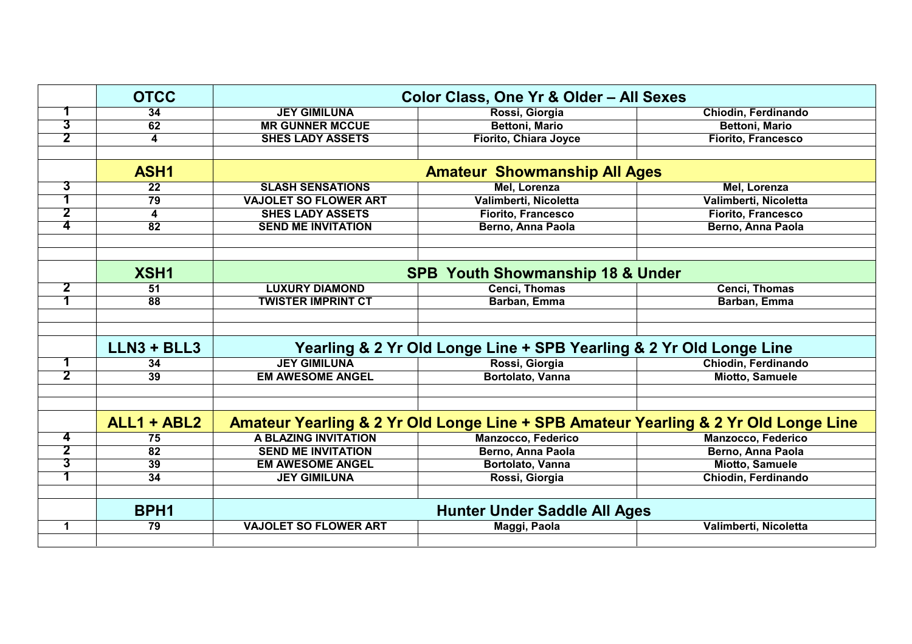|                | <b>OTCC</b>      | Color Class, One Yr & Older - All Sexes                                             |                           |                            |
|----------------|------------------|-------------------------------------------------------------------------------------|---------------------------|----------------------------|
| 1              | 34               | <b>JEY GIMILUNA</b>                                                                 | Rossi, Giorgia            | Chiodin, Ferdinando        |
| $\overline{3}$ | 62               | <b>MR GUNNER MCCUE</b>                                                              | <b>Bettoni, Mario</b>     | <b>Bettoni, Mario</b>      |
| $\overline{2}$ | 4                | <b>SHES LADY ASSETS</b>                                                             | Fiorito, Chiara Joyce     | <b>Fiorito, Francesco</b>  |
|                |                  |                                                                                     |                           |                            |
|                | ASH1             | <b>Amateur Showmanship All Ages</b>                                                 |                           |                            |
| 3              | $\overline{22}$  | <b>SLASH SENSATIONS</b>                                                             | Mel, Lorenza              | Mel, Lorenza               |
|                | 79               | <b>VAJOLET SO FLOWER ART</b>                                                        | Valimberti, Nicoletta     | Valimberti, Nicoletta      |
| $\overline{2}$ | 4                | <b>SHES LADY ASSETS</b>                                                             | <b>Fiorito, Francesco</b> | <b>Fiorito, Francesco</b>  |
| 4              | $\overline{82}$  | <b>SEND ME INVITATION</b>                                                           | Berno, Anna Paola         | Berno, Anna Paola          |
|                |                  |                                                                                     |                           |                            |
|                |                  |                                                                                     |                           |                            |
|                | XSH1             | <b>SPB Youth Showmanship 18 &amp; Under</b>                                         |                           |                            |
| 2              | 51               | <b>LUXURY DIAMOND</b>                                                               | <b>Cenci, Thomas</b>      | <b>Cenci, Thomas</b>       |
|                | 88               | <b>TWISTER IMPRINT CT</b>                                                           | Barban, Emma              | Barban, Emma               |
|                |                  |                                                                                     |                           |                            |
|                |                  |                                                                                     |                           |                            |
|                | $LLN3 + BLL3$    | Yearling & 2 Yr Old Longe Line + SPB Yearling & 2 Yr Old Longe Line                 |                           |                            |
| 1              | 34               | <b>JEY GIMILUNA</b>                                                                 | Rossi, Giorgia            | <b>Chiodin, Ferdinando</b> |
| $\overline{2}$ | 39               | <b>EM AWESOME ANGEL</b>                                                             | Bortolato, Vanna          | <b>Miotto, Samuele</b>     |
|                |                  |                                                                                     |                           |                            |
|                |                  |                                                                                     |                           |                            |
|                | ALL1 + ABL2      | Amateur Yearling & 2 Yr Old Longe Line + SPB Amateur Yearling & 2 Yr Old Longe Line |                           |                            |
| 4              | 75               | A BLAZING INVITATION                                                                | Manzocco, Federico        | <b>Manzocco, Federico</b>  |
| $\overline{2}$ | 82               | <b>SEND ME INVITATION</b>                                                           | Berno, Anna Paola         | Berno, Anna Paola          |
| $\overline{3}$ | 39               | <b>EM AWESOME ANGEL</b>                                                             | Bortolato, Vanna          | <b>Miotto, Samuele</b>     |
| 1              | $\overline{34}$  | <b>JEY GIMILUNA</b>                                                                 | Rossi, Giorgia            | Chiodin, Ferdinando        |
|                |                  |                                                                                     |                           |                            |
|                | BPH <sub>1</sub> | <b>Hunter Under Saddle All Ages</b>                                                 |                           |                            |
| $\mathbf 1$    | 79               | <b>VAJOLET SO FLOWER ART</b>                                                        | Maggi, Paola              | Valimberti, Nicoletta      |
|                |                  |                                                                                     |                           |                            |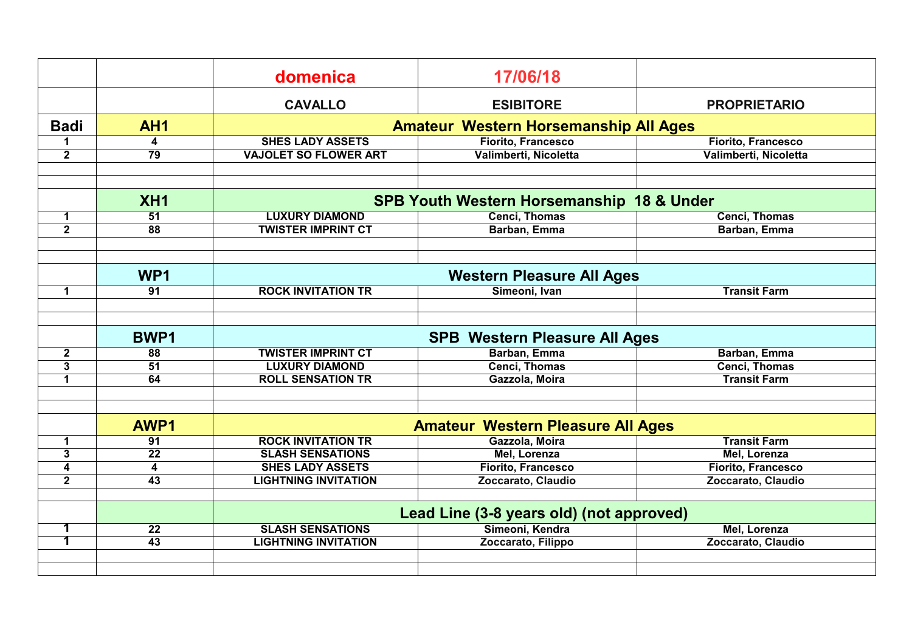|                |                 | domenica                                     | 17/06/18                                             |                       |  |
|----------------|-----------------|----------------------------------------------|------------------------------------------------------|-----------------------|--|
|                |                 | <b>CAVALLO</b>                               | <b>ESIBITORE</b>                                     | <b>PROPRIETARIO</b>   |  |
| <b>Badi</b>    | AH <sub>1</sub> | <b>Amateur Western Horsemanship All Ages</b> |                                                      |                       |  |
| 1              | 4               | <b>SHES LADY ASSETS</b>                      | Fiorito, Francesco                                   | Fiorito, Francesco    |  |
| $\mathbf{2}$   | $\overline{79}$ | <b>VAJOLET SO FLOWER ART</b>                 | Valimberti, Nicoletta                                | Valimberti, Nicoletta |  |
|                |                 |                                              |                                                      |                       |  |
|                |                 |                                              |                                                      |                       |  |
|                | XH <sub>1</sub> |                                              | <b>SPB Youth Western Horsemanship 18 &amp; Under</b> |                       |  |
| $\mathbf{1}$   | 51              | <b>LUXURY DIAMOND</b>                        | <b>Cenci, Thomas</b>                                 | <b>Cenci, Thomas</b>  |  |
| $\overline{2}$ | $\overline{88}$ | <b>TWISTER IMPRINT CT</b>                    | Barban, Emma                                         | Barban, Emma          |  |
|                |                 |                                              |                                                      |                       |  |
|                |                 |                                              |                                                      |                       |  |
|                | WP <sub>1</sub> | <b>Western Pleasure All Ages</b>             |                                                      |                       |  |
| $\mathbf 1$    | 91              | <b>ROCK INVITATION TR</b>                    | Simeoni, Ivan                                        | <b>Transit Farm</b>   |  |
|                |                 |                                              |                                                      |                       |  |
|                |                 |                                              |                                                      |                       |  |
|                | <b>BWP1</b>     |                                              | <b>SPB Western Pleasure All Ages</b>                 |                       |  |
| $\mathbf{2}$   | 88              | <b>TWISTER IMPRINT CT</b>                    | Barban, Emma                                         | Barban, Emma          |  |
| 3              | $\overline{51}$ | <b>LUXURY DIAMOND</b>                        | <b>Cenci, Thomas</b>                                 | <b>Cenci, Thomas</b>  |  |
| $\mathbf 1$    | 64              | <b>ROLL SENSATION TR</b>                     | Gazzola, Moira                                       | <b>Transit Farm</b>   |  |
|                |                 |                                              |                                                      |                       |  |
|                |                 |                                              |                                                      |                       |  |
|                | AWP1            | <b>Amateur Western Pleasure All Ages</b>     |                                                      |                       |  |
| $\mathbf 1$    | 91              | <b>ROCK INVITATION TR</b>                    | Gazzola, Moira                                       | <b>Transit Farm</b>   |  |
| 3              | 22              | <b>SLASH SENSATIONS</b>                      | Mel, Lorenza                                         | Mel, Lorenza          |  |
| 4              | 4               | <b>SHES LADY ASSETS</b>                      | <b>Fiorito, Francesco</b>                            | Fiorito, Francesco    |  |
| $\mathbf{2}$   | $\overline{43}$ | <b>LIGHTNING INVITATION</b>                  | Zoccarato, Claudio                                   | Zoccarato, Claudio    |  |
|                |                 |                                              |                                                      |                       |  |
|                |                 |                                              | Lead Line (3-8 years old) (not approved)             |                       |  |
| 1              | 22              | <b>SLASH SENSATIONS</b>                      | Simeoni, Kendra                                      | Mel, Lorenza          |  |
| 1              | $\overline{43}$ | <b>LIGHTNING INVITATION</b>                  | Zoccarato, Filippo                                   | Zoccarato, Claudio    |  |
|                |                 |                                              |                                                      |                       |  |
|                |                 |                                              |                                                      |                       |  |